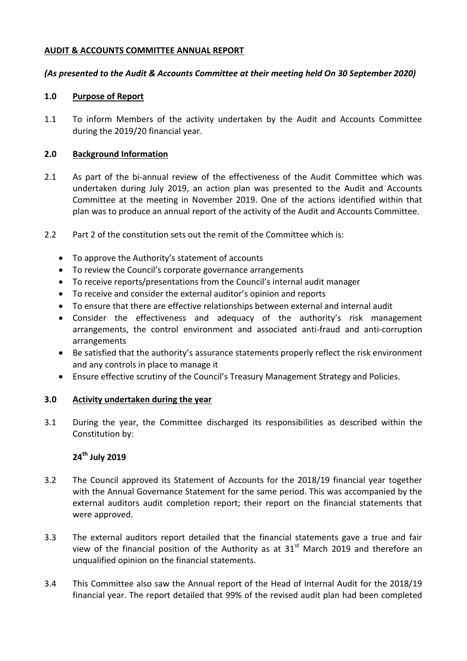### **AUDIT & ACCOUNTS COMMITTEE ANNUAL REPORT**

### *(As presented to the Audit & Accounts Committee at their meeting held On 30 September 2020)*

### **1.0 Purpose of Report**

1.1 To inform Members of the activity undertaken by the Audit and Accounts Committee during the 2019/20 financial year.

### **2.0 Background Information**

- 2.1 As part of the bi-annual review of the effectiveness of the Audit Committee which was undertaken during July 2019, an action plan was presented to the Audit and Accounts Committee at the meeting in November 2019. One of the actions identified within that plan was to produce an annual report of the activity of the Audit and Accounts Committee.
- 2.2 Part 2 of the constitution sets out the remit of the Committee which is:
	- To approve the Authority's statement of accounts
	- To review the Council's corporate governance arrangements
	- To receive reports/presentations from the Council's internal audit manager
	- To receive and consider the external auditor's opinion and reports
	- To ensure that there are effective relationships between external and internal audit
	- Consider the effectiveness and adequacy of the authority's risk management arrangements, the control environment and associated anti-fraud and anti-corruption arrangements
	- Be satisfied that the authority's assurance statements properly reflect the risk environment and any controls in place to manage it
	- Ensure effective scrutiny of the Council's Treasury Management Strategy and Policies.

#### **3.0 Activity undertaken during the year**

3.1 During the year, the Committee discharged its responsibilities as described within the Constitution by:

# **24th July 2019**

- 3.2 The Council approved its Statement of Accounts for the 2018/19 financial year together with the Annual Governance Statement for the same period. This was accompanied by the external auditors audit completion report; their report on the financial statements that were approved.
- 3.3 The external auditors report detailed that the financial statements gave a true and fair view of the financial position of the Authority as at  $31<sup>st</sup>$  March 2019 and therefore an unqualified opinion on the financial statements.
- 3.4 This Committee also saw the Annual report of the Head of Internal Audit for the 2018/19 financial year. The report detailed that 99% of the revised audit plan had been completed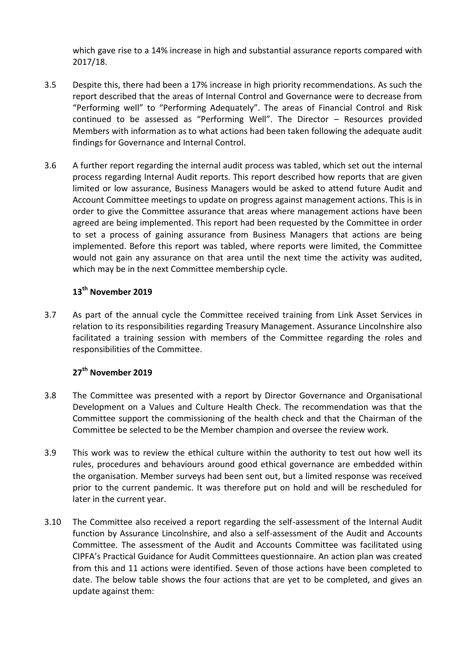which gave rise to a 14% increase in high and substantial assurance reports compared with 2017/18.

- 3.5 Despite this, there had been a 17% increase in high priority recommendations. As such the report described that the areas of Internal Control and Governance were to decrease from "Performing well" to "Performing Adequately". The areas of Financial Control and Risk continued to be assessed as "Performing Well". The Director – Resources provided Members with information as to what actions had been taken following the adequate audit findings for Governance and Internal Control.
- 3.6 A further report regarding the internal audit process was tabled, which set out the internal process regarding Internal Audit reports. This report described how reports that are given limited or low assurance, Business Managers would be asked to attend future Audit and Account Committee meetings to update on progress against management actions. This is in order to give the Committee assurance that areas where management actions have been agreed are being implemented. This report had been requested by the Committee in order to set a process of gaining assurance from Business Managers that actions are being implemented. Before this report was tabled, where reports were limited, the Committee would not gain any assurance on that area until the next time the activity was audited, which may be in the next Committee membership cycle.

# **13th November 2019**

3.7 As part of the annual cycle the Committee received training from Link Asset Services in relation to its responsibilities regarding Treasury Management. Assurance Lincolnshire also facilitated a training session with members of the Committee regarding the roles and responsibilities of the Committee.

## **27th November 2019**

- 3.8 The Committee was presented with a report by Director Governance and Organisational Development on a Values and Culture Health Check. The recommendation was that the Committee support the commissioning of the health check and that the Chairman of the Committee be selected to be the Member champion and oversee the review work.
- 3.9 This work was to review the ethical culture within the authority to test out how well its rules, procedures and behaviours around good ethical governance are embedded within the organisation. Member surveys had been sent out, but a limited response was received prior to the current pandemic. It was therefore put on hold and will be rescheduled for later in the current year.
- 3.10 The Committee also received a report regarding the self-assessment of the Internal Audit function by Assurance Lincolnshire, and also a self-assessment of the Audit and Accounts Committee. The assessment of the Audit and Accounts Committee was facilitated using CIPFA's Practical Guidance for Audit Committees questionnaire. An action plan was created from this and 11 actions were identified. Seven of those actions have been completed to date. The below table shows the four actions that are yet to be completed, and gives an update against them: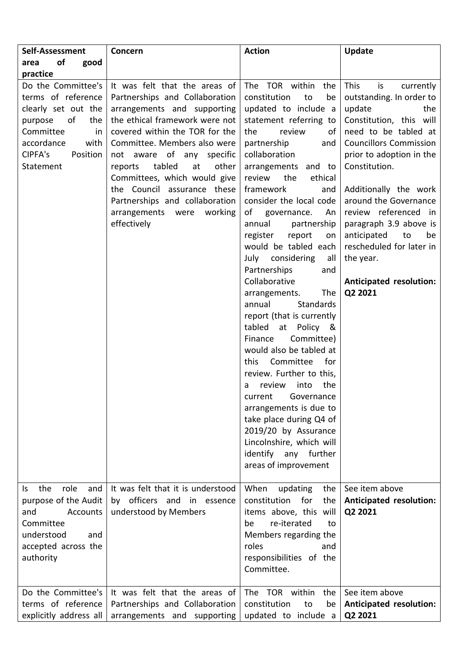| Self-Assessment                                                                                                                                                      | Concern                                                                                                                                                                                                                                                                                                                                                                                                          | <b>Action</b>                                                                                                                                                                                                                                                                                                                                                                                                                                                                                                                                                                                                                                                                                                                                                                                                                                                      | Update                                                                                                                                                                                                                                                                                                                                                                                                                        |
|----------------------------------------------------------------------------------------------------------------------------------------------------------------------|------------------------------------------------------------------------------------------------------------------------------------------------------------------------------------------------------------------------------------------------------------------------------------------------------------------------------------------------------------------------------------------------------------------|--------------------------------------------------------------------------------------------------------------------------------------------------------------------------------------------------------------------------------------------------------------------------------------------------------------------------------------------------------------------------------------------------------------------------------------------------------------------------------------------------------------------------------------------------------------------------------------------------------------------------------------------------------------------------------------------------------------------------------------------------------------------------------------------------------------------------------------------------------------------|-------------------------------------------------------------------------------------------------------------------------------------------------------------------------------------------------------------------------------------------------------------------------------------------------------------------------------------------------------------------------------------------------------------------------------|
| of<br>good<br>area                                                                                                                                                   |                                                                                                                                                                                                                                                                                                                                                                                                                  |                                                                                                                                                                                                                                                                                                                                                                                                                                                                                                                                                                                                                                                                                                                                                                                                                                                                    |                                                                                                                                                                                                                                                                                                                                                                                                                               |
| practice                                                                                                                                                             |                                                                                                                                                                                                                                                                                                                                                                                                                  |                                                                                                                                                                                                                                                                                                                                                                                                                                                                                                                                                                                                                                                                                                                                                                                                                                                                    |                                                                                                                                                                                                                                                                                                                                                                                                                               |
| Do the Committee's<br>terms of reference<br>clearly set out the<br>of<br>the<br>purpose<br>Committee<br>in<br>accordance<br>with<br>CIPFA's<br>Position<br>Statement | It was felt that the areas of<br>Partnerships and Collaboration<br>arrangements and supporting<br>the ethical framework were not<br>covered within the TOR for the<br>Committee. Members also were<br>not aware of any specific<br>tabled<br>other<br>at<br>reports<br>Committees, which would give<br>the Council assurance these<br>Partnerships and collaboration<br>arrangements were working<br>effectively | The TOR within<br>the<br>constitution<br>to<br>be<br>updated to include a<br>statement referring to<br>the<br>review<br>of<br>partnership<br>and<br>collaboration<br>arrangements and to<br>the<br>review<br>ethical<br>framework<br>and<br>consider the local code<br>of governance.<br>An<br>partnership<br>annual<br>report<br>register<br>on<br>would be tabled each<br>considering<br>July<br>all<br>Partnerships<br>and<br>Collaborative<br><b>The</b><br>arrangements.<br><b>Standards</b><br>annual<br>report (that is currently<br>tabled at Policy &<br>Committee)<br>Finance<br>would also be tabled at<br>Committee for<br>this<br>review. Further to this,<br>review<br>into<br>the<br>a<br>Governance<br>current<br>arrangements is due to<br>take place during Q4 of<br>2019/20 by Assurance<br>Lincolnshire, which will<br>identify any<br>further | <b>This</b><br>is<br>currently<br>outstanding. In order to<br>update<br>the<br>Constitution, this will<br>need to be tabled at<br><b>Councillors Commission</b><br>prior to adoption in the<br>Constitution.<br>Additionally the work<br>around the Governance<br>review referenced<br>in<br>paragraph 3.9 above is<br>anticipated<br>to<br>be<br>rescheduled for later in<br>the year.<br>Anticipated resolution:<br>Q2 2021 |
|                                                                                                                                                                      |                                                                                                                                                                                                                                                                                                                                                                                                                  | areas of improvement                                                                                                                                                                                                                                                                                                                                                                                                                                                                                                                                                                                                                                                                                                                                                                                                                                               |                                                                                                                                                                                                                                                                                                                                                                                                                               |
| the<br>role<br>and<br>Is.<br>purpose of the Audit<br>and<br>Accounts<br>Committee<br>understood<br>and<br>accepted across the<br>authority                           | It was felt that it is understood<br>by officers and in essence<br>understood by Members                                                                                                                                                                                                                                                                                                                         | When<br>updating<br>the<br>constitution<br>for<br>the<br>items above, this will<br>re-iterated<br>be<br>to<br>Members regarding the<br>roles<br>and<br>responsibilities of the<br>Committee.                                                                                                                                                                                                                                                                                                                                                                                                                                                                                                                                                                                                                                                                       | See item above<br><b>Anticipated resolution:</b><br>Q2 2021                                                                                                                                                                                                                                                                                                                                                                   |
| Do the Committee's                                                                                                                                                   | It was felt that the areas of                                                                                                                                                                                                                                                                                                                                                                                    | The TOR within the                                                                                                                                                                                                                                                                                                                                                                                                                                                                                                                                                                                                                                                                                                                                                                                                                                                 | See item above                                                                                                                                                                                                                                                                                                                                                                                                                |
| terms of reference<br>explicitly address all                                                                                                                         | Partnerships and Collaboration<br>arrangements and supporting                                                                                                                                                                                                                                                                                                                                                    | constitution<br>to<br>be<br>updated to include a                                                                                                                                                                                                                                                                                                                                                                                                                                                                                                                                                                                                                                                                                                                                                                                                                   | <b>Anticipated resolution:</b><br>Q2 2021                                                                                                                                                                                                                                                                                                                                                                                     |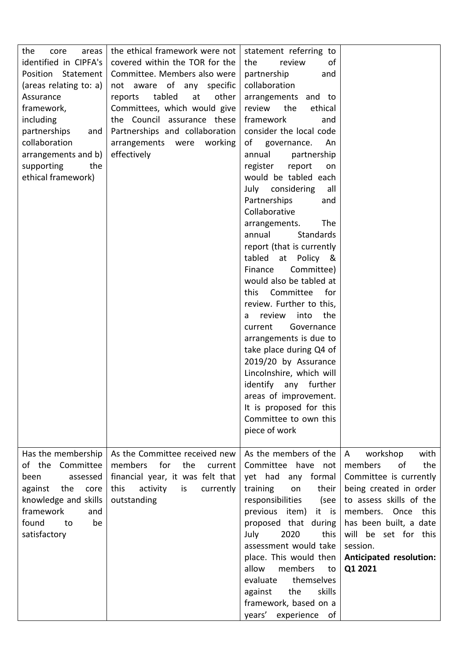| the<br>areas<br>core<br>identified in CIPFA's<br>Position Statement<br>(areas relating to: a)                                                                         | the ethical framework were not<br>covered within the TOR for the<br>Committee. Members also were<br>not aware of any specific                                                 | statement referring to<br>of<br>the<br>review<br>partnership<br>and<br>collaboration                                                                                                                                                                                                                                                                                                                                                                                                                                     |                                                                                                                                                                                                                                                               |
|-----------------------------------------------------------------------------------------------------------------------------------------------------------------------|-------------------------------------------------------------------------------------------------------------------------------------------------------------------------------|--------------------------------------------------------------------------------------------------------------------------------------------------------------------------------------------------------------------------------------------------------------------------------------------------------------------------------------------------------------------------------------------------------------------------------------------------------------------------------------------------------------------------|---------------------------------------------------------------------------------------------------------------------------------------------------------------------------------------------------------------------------------------------------------------|
| Assurance<br>framework,<br>including<br>partnerships<br>and<br>collaboration<br>arrangements and b)<br>supporting<br>the<br>ethical framework)                        | tabled<br>at<br>other<br>reports<br>Committees, which would give<br>the Council assurance these<br>Partnerships and collaboration<br>arrangements were working<br>effectively | arrangements and to<br>the<br>review<br>ethical<br>framework<br>and<br>consider the local code<br>of<br>governance.<br>An<br>annual<br>partnership<br>register<br>report<br>on<br>would be tabled each<br>July considering<br>all<br>Partnerships<br>and                                                                                                                                                                                                                                                                 |                                                                                                                                                                                                                                                               |
|                                                                                                                                                                       |                                                                                                                                                                               | Collaborative<br>The<br>arrangements.<br><b>Standards</b><br>annual<br>report (that is currently<br>tabled at Policy &<br>Finance<br>Committee)<br>would also be tabled at<br>Committee<br>this<br>for<br>review. Further to this,<br>into<br>the<br>review<br>a<br>current<br>Governance<br>arrangements is due to<br>take place during Q4 of<br>2019/20 by Assurance<br>Lincolnshire, which will<br>identify any further<br>areas of improvement.<br>It is proposed for this<br>Committee to own this<br>piece of work |                                                                                                                                                                                                                                                               |
| Has the membership<br>of the Committee<br>been<br>assessed<br>against<br>the<br>core<br>knowledge and skills<br>framework<br>and<br>found<br>to<br>be<br>satisfactory | As the Committee received new<br>members<br>for<br>the<br>current<br>financial year, it was felt that<br>this<br>activity<br>is<br>currently<br>outstanding                   | As the members of the<br>Committee have not<br>yet had any formal<br>training<br>their<br>on<br>responsibilities<br>(see<br>previous item) it is<br>proposed that during<br>July<br>2020<br>this<br>assessment would take<br>place. This would then<br>allow<br>members<br>to<br>themselves<br>evaluate<br>the<br>skills<br>against<br>framework, based on a<br>years'<br>experience of                                                                                                                                  | workshop<br>with<br>A<br>the<br>members<br>of<br>Committee is currently<br>being created in order<br>to assess skills of the<br>members. Once this<br>has been built, a date<br>will be set for this<br>session.<br><b>Anticipated resolution:</b><br>Q1 2021 |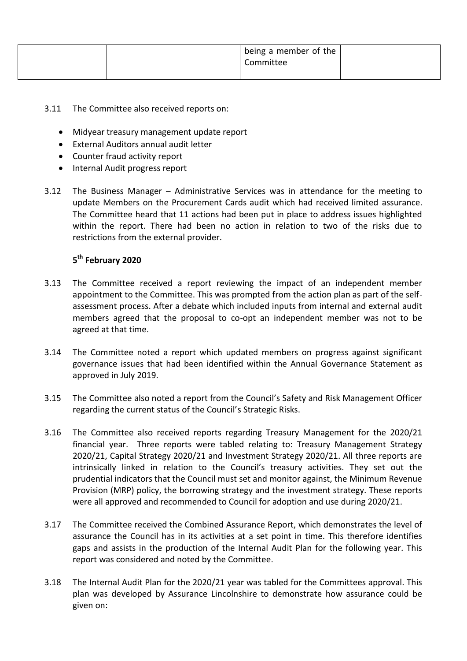|  | I being a member of the $\vert$<br>Committee |  |
|--|----------------------------------------------|--|
|  |                                              |  |

- 3.11 The Committee also received reports on:
	- Midyear treasury management update report
	- External Auditors annual audit letter
	- Counter fraud activity report
	- Internal Audit progress report
- 3.12 The Business Manager Administrative Services was in attendance for the meeting to update Members on the Procurement Cards audit which had received limited assurance. The Committee heard that 11 actions had been put in place to address issues highlighted within the report. There had been no action in relation to two of the risks due to restrictions from the external provider.

## **5 th February 2020**

- 3.13 The Committee received a report reviewing the impact of an independent member appointment to the Committee. This was prompted from the action plan as part of the selfassessment process. After a debate which included inputs from internal and external audit members agreed that the proposal to co-opt an independent member was not to be agreed at that time.
- 3.14 The Committee noted a report which updated members on progress against significant governance issues that had been identified within the Annual Governance Statement as approved in July 2019.
- 3.15 The Committee also noted a report from the Council's Safety and Risk Management Officer regarding the current status of the Council's Strategic Risks.
- 3.16 The Committee also received reports regarding Treasury Management for the 2020/21 financial year. Three reports were tabled relating to: Treasury Management Strategy 2020/21, Capital Strategy 2020/21 and Investment Strategy 2020/21. All three reports are intrinsically linked in relation to the Council's treasury activities. They set out the prudential indicators that the Council must set and monitor against, the Minimum Revenue Provision (MRP) policy, the borrowing strategy and the investment strategy. These reports were all approved and recommended to Council for adoption and use during 2020/21.
- 3.17 The Committee received the Combined Assurance Report, which demonstrates the level of assurance the Council has in its activities at a set point in time. This therefore identifies gaps and assists in the production of the Internal Audit Plan for the following year. This report was considered and noted by the Committee.
- 3.18 The Internal Audit Plan for the 2020/21 year was tabled for the Committees approval. This plan was developed by Assurance Lincolnshire to demonstrate how assurance could be given on: